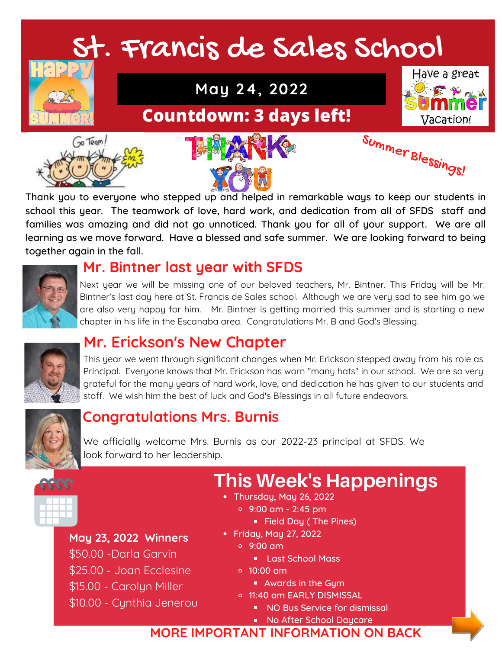# H. Francis de Sales School<br>De laveagreat

## **May 24, 2022**

## **Countdown: 3 days left!**







Vacation!

Thank you to everyone who stepped up and helped in remarkable ways to keep our students in school this year. The teamwork of love, hard work, and dedication from all of SFDS staff and families was amazing and did not go unnoticed. Thank you for all of your support. We are all learning as we move forward. Have a blessed and safe summer. We are looking forward to being together again in the fall.



#### **Mr. Bintner last year with SFDS**

Next year we will be missing one of our beloved teachers, Mr. Bintner. This Friday will be Mr. Bintner's last day here at St. Francis de Sales school. Although we are very sad to see him go we are also very happy for him. Mr. Bintner is getting married this summer and is starting a new chapter in his life in the Escanaba area. Congratulations Mr. B and God's Blessing.



#### **Mr. Erickson's New Chapter**

This year we went through significant changes when Mr. Erickson stepped away from his role as Principal. Everyone knows that Mr. Erickson has worn "many hats" in our school. We are so very grateful for the many years of hard work, love, and dedication he has given to our students and staff. We wish him the best of luck and God's Blessings in all future endeavors.



#### **Congratulations Mrs. Burnis**

THis weeks Events look forward to her leadership. We officially welcome Mrs. Burnis as our 2022-23 principal at SFDS. We



# **This Week's Happenings**

- Thursday, May 26, 2022
	- 9:00 am 2:45 pm
		- $\frac{1}{2}$ **Field Day (The Pines)**
- Friday, May 27, 2022
	- 9:00 am
		- **Last School Mass**
	- $0.10:00$  am
		- **Awards in the Gym**

**MORE IMPORTANT INFORMATION ON BACK**

- o 11:40 am EARLY DISMISSAL
	- **NO Bus Service for dismissal**

**No After School Daycare** 

52 Club Raffle winners **May 23, 2022 Winners** \$50.00 -Darla Garvin \$25.00 - Joan Ecclesine

- \$15.00 Carolyn Miller
- \$10.00 Cynthia Jenerou